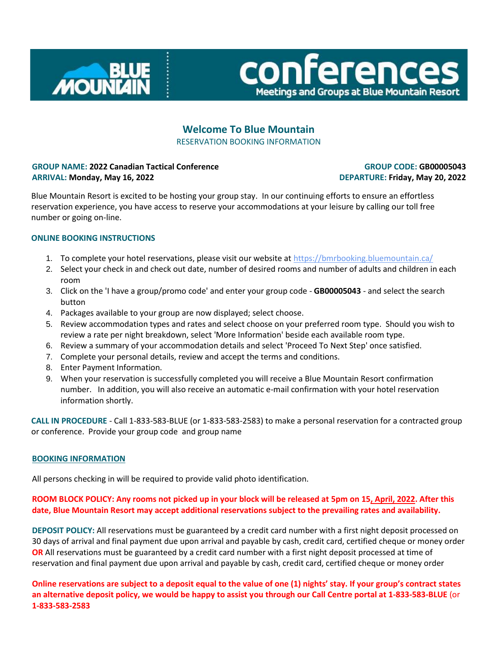



# **Welcome To Blue Mountain** RESERVATION BOOKING INFORMATION

### **GROUP NAME: 2022 Canadian Tactical Conference ARRIVAL: Monday, May 16, 2022**

# **GROUP CODE: GB00005043 DEPARTURE: Friday, May 20, 2022**

Blue Mountain Resort is excited to be hosting your group stay. In our continuing efforts to ensure an effortless reservation experience, you have access to reserve your accommodations at your leisure by calling our toll free number or going on-line.

# **ONLINE BOOKING INSTRUCTIONS**

- 1. To complete your hotel reservations, please visit our website at https://bmrbooking.bluemountain.ca/
- 2. Select your check in and check out date, number of desired rooms and number of adults and children in each room
- 3. Click on the 'I have a group/promo code' and enter your group code **GB00005043** and select the search button
- 4. Packages available to your group are now displayed; select choose.
- 5. Review accommodation types and rates and select choose on your preferred room type. Should you wish to review a rate per night breakdown, select 'More Information' beside each available room type.
- 6. Review a summary of your accommodation details and select 'Proceed To Next Step' once satisfied.
- 7. Complete your personal details, review and accept the terms and conditions.
- 8. Enter Payment Information.
- 9. When your reservation is successfully completed you will receive a Blue Mountain Resort confirmation number. In addition, you will also receive an automatic e-mail confirmation with your hotel reservation information shortly.

**CALL IN PROCEDURE** - Call 1-833-583-BLUE (or 1-833-583-2583) to make a personal reservation for a contracted group or conference. Provide your group code and group name

#### **BOOKING INFORMATION**

All persons checking in will be required to provide valid photo identification.

#### **ROOM BLOCK POLICY: Any rooms not picked up in your block will be released at 5pm on 15, April, 2022. After this date, Blue Mountain Resort may accept additional reservations subject to the prevailing rates and availability.**

**DEPOSIT POLICY:** All reservations must be guaranteed by a credit card number with a first night deposit processed on 30 days of arrival and final payment due upon arrival and payable by cash, credit card, certified cheque or money order **OR** All reservations must be guaranteed by a credit card number with a first night deposit processed at time of reservation and final payment due upon arrival and payable by cash, credit card, certified cheque or money order

**Online reservations are subject to a deposit equal to the value of one (1) nights' stay. If your group's contract states an alternative deposit policy, we would be happy to assist you through our Call Centre portal at 1-833-583-BLUE** (or **1-833-583-2583**